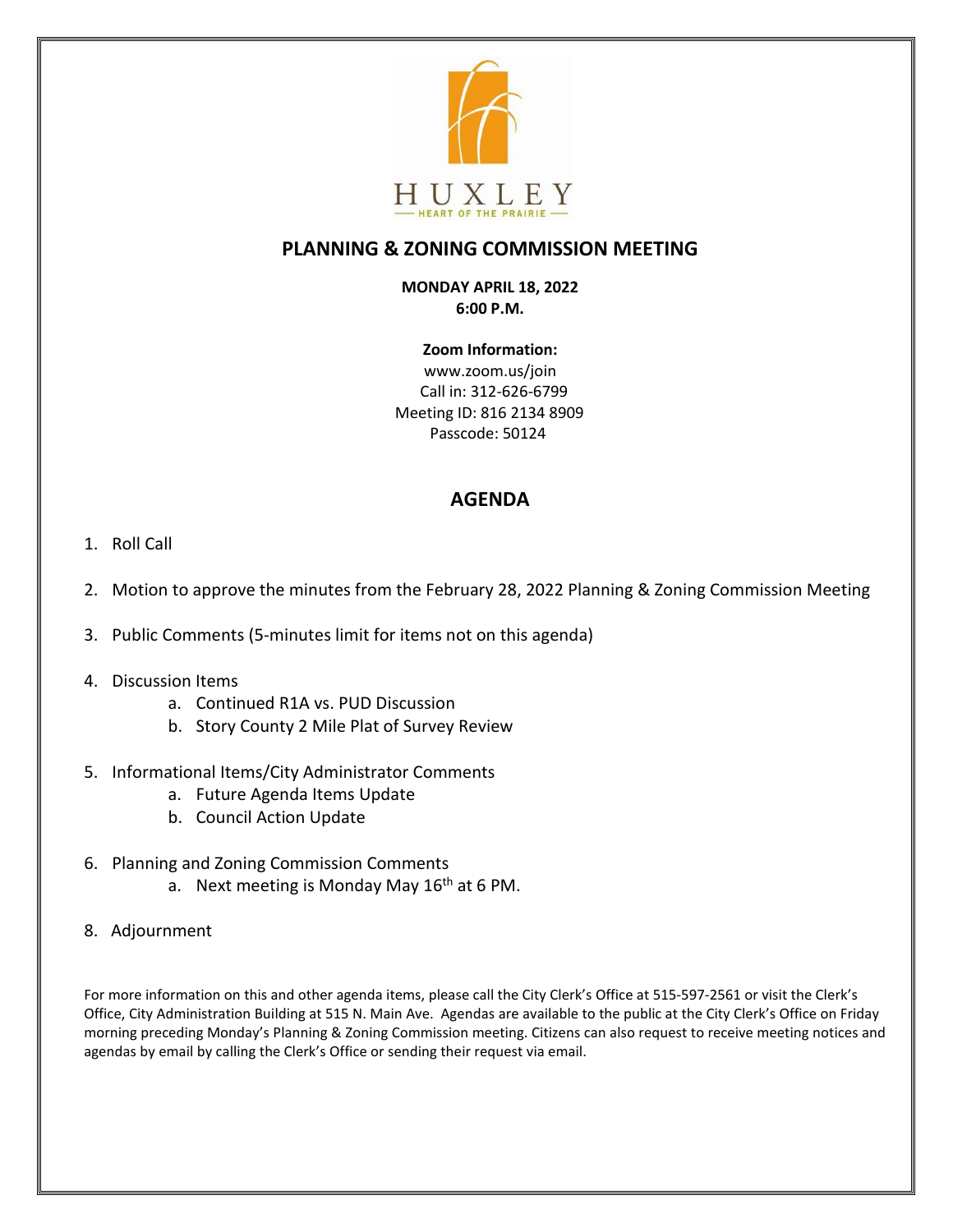

# **PLANNING & ZONING COMMISSION MEETING**

#### **MONDAY APRIL 18, 2022 6:00 P.M.**

**Zoom Information:** www.zoom.us/join Call in: 312-626-6799 Meeting ID: 816 2134 8909 Passcode: 50124

## **AGENDA**

- 1. Roll Call
- 2. Motion to approve the minutes from the February 28, 2022 Planning & Zoning Commission Meeting
- 3. Public Comments (5-minutes limit for items not on this agenda)

#### 4. Discussion Items

- a. Continued R1A vs. PUD Discussion
- b. Story County 2 Mile Plat of Survey Review
- 5. Informational Items/City Administrator Comments
	- a. Future Agenda Items Update
	- b. Council Action Update
- 6. Planning and Zoning Commission Comments
	- a. Next meeting is Monday May  $16<sup>th</sup>$  at 6 PM.
- 8. Adjournment

For more information on this and other agenda items, please call the City Clerk's Office at 515-597-2561 or visit the Clerk's Office, City Administration Building at 515 N. Main Ave. Agendas are available to the public at the City Clerk's Office on Friday morning preceding Monday's Planning & Zoning Commission meeting. Citizens can also request to receive meeting notices and agendas by email by calling the Clerk's Office or sending their request via email.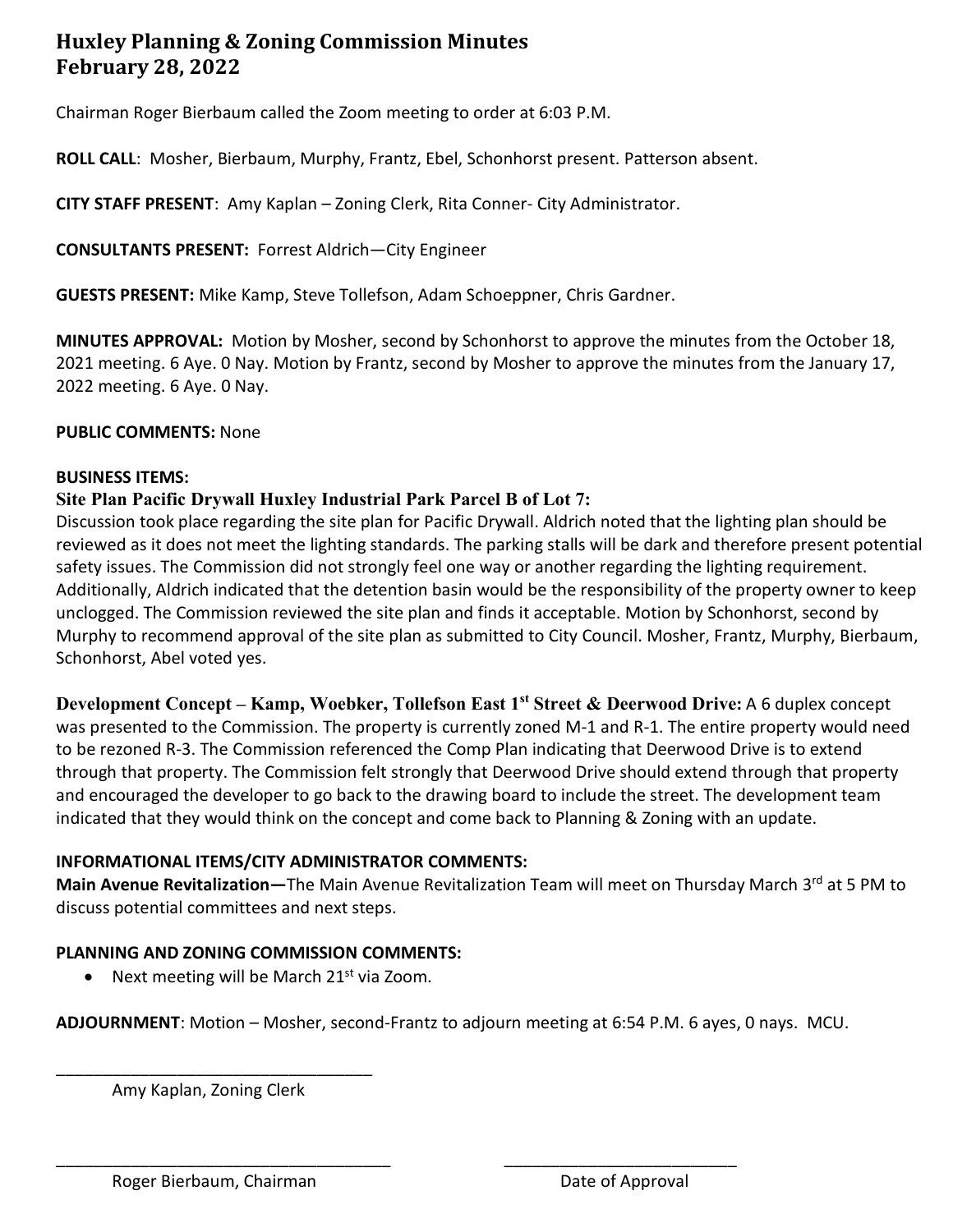# **Huxley Planning & Zoning Commission Minutes February 28, 2022**

Chairman Roger Bierbaum called the Zoom meeting to order at 6:03 P.M.

**ROLL CALL**: Mosher, Bierbaum, Murphy, Frantz, Ebel, Schonhorst present. Patterson absent.

**CITY STAFF PRESENT**: Amy Kaplan – Zoning Clerk, Rita Conner- City Administrator.

**CONSULTANTS PRESENT:** Forrest Aldrich—City Engineer

**GUESTS PRESENT:** Mike Kamp, Steve Tollefson, Adam Schoeppner, Chris Gardner.

**MINUTES APPROVAL:** Motion by Mosher, second by Schonhorst to approve the minutes from the October 18, 2021 meeting. 6 Aye. 0 Nay. Motion by Frantz, second by Mosher to approve the minutes from the January 17, 2022 meeting. 6 Aye. 0 Nay.

#### **PUBLIC COMMENTS:** None

#### **BUSINESS ITEMS:**

### **Site Plan Pacific Drywall Huxley Industrial Park Parcel B of Lot 7:**

Discussion took place regarding the site plan for Pacific Drywall. Aldrich noted that the lighting plan should be reviewed as it does not meet the lighting standards. The parking stalls will be dark and therefore present potential safety issues. The Commission did not strongly feel one way or another regarding the lighting requirement. Additionally, Aldrich indicated that the detention basin would be the responsibility of the property owner to keep unclogged. The Commission reviewed the site plan and finds it acceptable. Motion by Schonhorst, second by Murphy to recommend approval of the site plan as submitted to City Council. Mosher, Frantz, Murphy, Bierbaum, Schonhorst, Abel voted yes.

**Development Concept – Kamp, Woebker, Tollefson East 1st Street & Deerwood Drive:** A 6 duplex concept was presented to the Commission. The property is currently zoned M-1 and R-1. The entire property would need to be rezoned R-3. The Commission referenced the Comp Plan indicating that Deerwood Drive is to extend through that property. The Commission felt strongly that Deerwood Drive should extend through that property and encouraged the developer to go back to the drawing board to include the street. The development team indicated that they would think on the concept and come back to Planning & Zoning with an update.

#### **INFORMATIONAL ITEMS/CITY ADMINISTRATOR COMMENTS:**

Main Avenue Revitalization—The Main Avenue Revitalization Team will meet on Thursday March 3<sup>rd</sup> at 5 PM to discuss potential committees and next steps.

### **PLANNING AND ZONING COMMISSION COMMENTS:**

• Next meeting will be March  $21^{st}$  via Zoom.

**ADJOURNMENT**: Motion – Mosher, second-Frantz to adjourn meeting at 6:54 P.M. 6 ayes, 0 nays. MCU.

\_\_\_\_\_\_\_\_\_\_\_\_\_\_\_\_\_\_\_\_\_\_\_\_\_\_\_\_\_\_\_\_\_\_\_\_ \_\_\_\_\_\_\_\_\_\_\_\_\_\_\_\_\_\_\_\_\_\_\_\_\_

\_\_\_\_\_\_\_\_\_\_\_\_\_\_\_\_\_\_\_\_\_\_\_\_\_\_\_\_\_\_\_\_\_\_ Amy Kaplan, Zoning Clerk

Roger Bierbaum, Chairman Date of Approval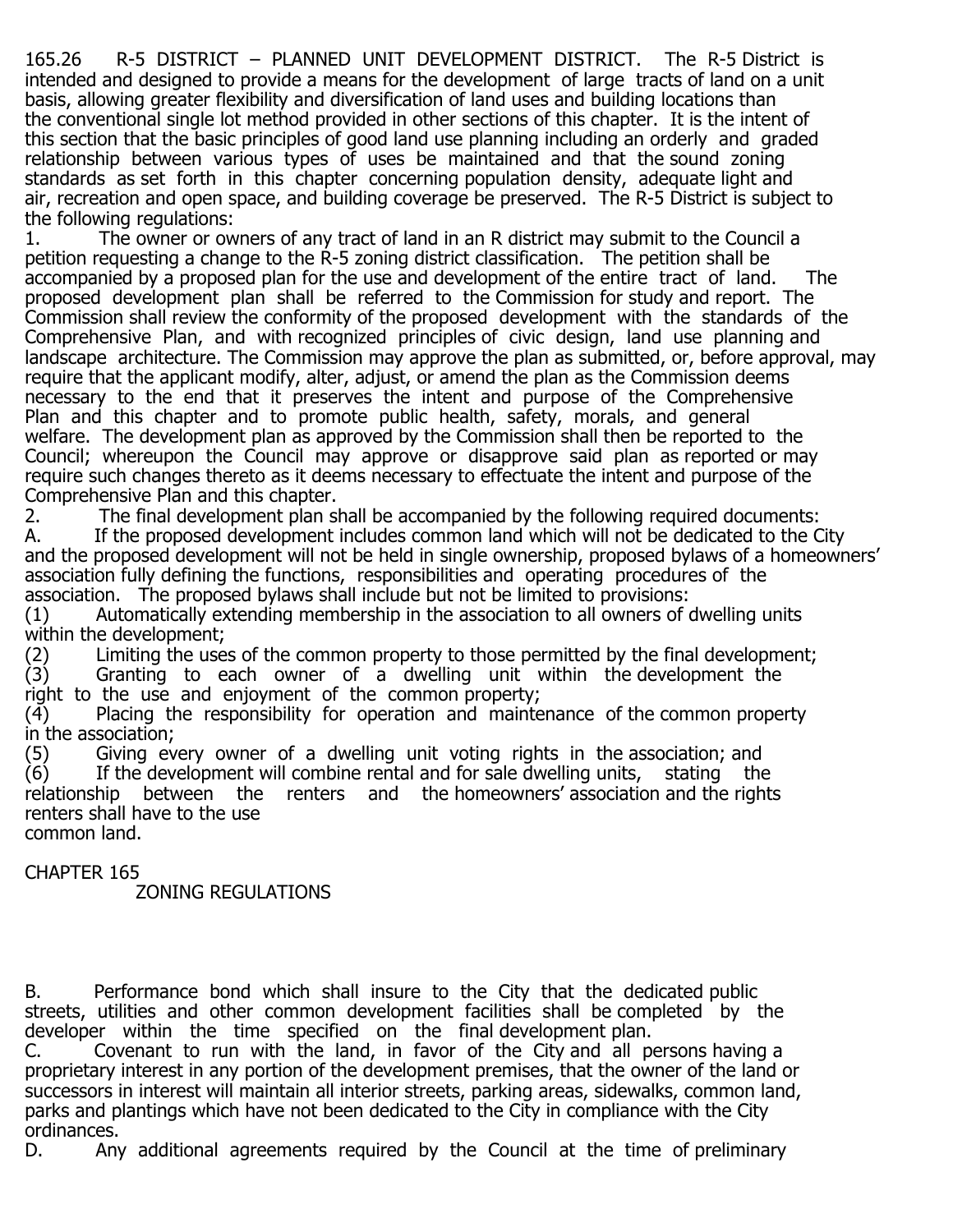165.26 R-5 DISTRICT – PLANNED UNIT DEVELOPMENT DISTRICT. The R-5 District is intended and designed to provide a means for the development of large tracts of land on a unit basis, allowing greater flexibility and diversification of land uses and building locations than the conventional single lot method provided in other sections of this chapter. It is the intent of this section that the basic principles of good land use planning including an orderly and graded relationship between various types of uses be maintained and that the sound zoning standards as set forth in this chapter concerning population density, adequate light and air, recreation and open space, and building coverage be preserved. The R-5 District is subject to the following regulations:<br>1. The owner or own

The owner or owners of any tract of land in an R district may submit to the Council a petition requesting a change to the R-5 zoning district classification. The petition shall be accompanied by a proposed plan for the use and development of the entire tract of land. The proposed development plan shall be referred to the Commission for study and report. The Commission shall review the conformity of the proposed development with the standards of the Comprehensive Plan, and with recognized principles of civic design, land use planning and landscape architecture. The Commission may approve the plan as submitted, or, before approval, may require that the applicant modify, alter, adjust, or amend the plan as the Commission deems necessary to the end that it preserves the intent and purpose of the Comprehensive Plan and this chapter and to promote public health, safety, morals, and general welfare. The development plan as approved by the Commission shall then be reported to the Council; whereupon the Council may approve or disapprove said plan as reported or may require such changes thereto as it deems necessary to effectuate the intent and purpose of the Comprehensive Plan and this chapter.<br>2. The final development plan sl

2. The final development plan shall be accompanied by the following required documents:<br>
A. If the proposed development includes common land which will not be dedicated to the C If the proposed development includes common land which will not be dedicated to the City and the proposed development will not be held in single ownership, proposed bylaws of a homeowners' association fully defining the functions, responsibilities and operating procedures of the association. The proposed bylaws shall include but not be limited to provisions:<br>(1) Automatically extending membership in the association to all owners of  $\alpha$ 

Automatically extending membership in the association to all owners of dwelling units within the development;<br>(2) Limiting the use

(2) Limiting the uses of the common property to those permitted by the final development;<br>(3) Granting to each owner of a dwelling unit within the development the (3) Granting to each owner of a dwelling unit within the development the right to the use and enjoyment of the common property;

(4) Placing the responsibility for operation and maintenance of the common property in the association;<br>(5) Giving ev

(5) Giving every owner of a dwelling unit voting rights in the association; and<br>(6) If the development will combine rental and for sale dwelling units, stating the If the development will combine rental and for sale dwelling units, stating the relationship between the renters and the homeowners' association and the rights renters shall have to the use common land.

## CHAPTER 165

ZONING REGULATIONS

B. Performance bond which shall insure to the City that the dedicated public streets, utilities and other common development facilities shall be completed by the developer within the time specified on the final development plan.

C.  $\overline{C}$  Covenant to run with the land, in favor of the City and all persons having a proprietary interest in any portion of the development premises, that the owner of the land or successors in interest will maintain all interior streets, parking areas, sidewalks, common land, parks and plantings which have not been dedicated to the City in compliance with the City ordinances.<br>D. Any

Any additional agreements required by the Council at the time of preliminary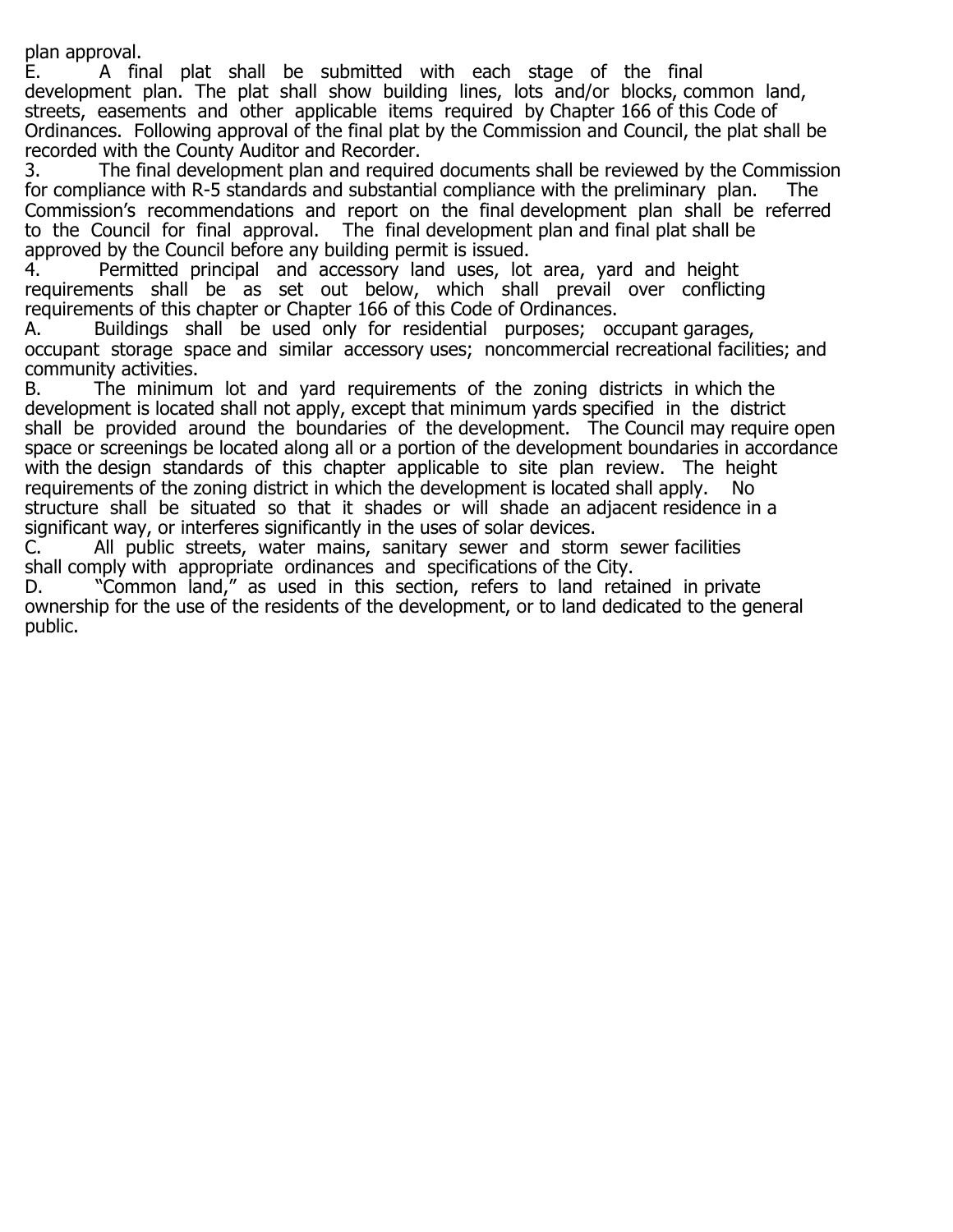plan approval.<br>E. A fin

A final plat shall be submitted with each stage of the final development plan. The plat shall show building lines, lots and/or blocks, common land, streets, easements and other applicable items required by Chapter 166 of this Code of Ordinances. Following approval of the final plat by the Commission and Council, the plat shall be

recorded with the County Auditor and Recorder.<br>3. The final development plan and require The final development plan and required documents shall be reviewed by the Commission for compliance with R-5 standards and substantial compliance with the preliminary plan. The Commission's recommendations and report on the final development plan shall be referred to the Council for final approval. The final development plan and final plat shall be approved by the Council before any building permit is issued.

4. Permitted principal and accessory land uses, lot area, yard and height requirements shall be as set out below, which shall prevail over conflicting requirements of this chapter or Chapter 166 of this Code of Ordinances.

A. Buildings shall be used only for residential purposes; occupant garages, occupant storage space and similar accessory uses; noncommercial recreational facilities; and community activities.

B. The minimum lot and yard requirements of the zoning districts in which the development is located shall not apply, except that minimum yards specified in the district shall be provided around the boundaries of the development. The Council may require open space or screenings be located along all or a portion of the development boundaries in accordance with the design standards of this chapter applicable to site plan review. The height requirements of the zoning district in which the development is located shall apply. structure shall be situated so that it shades or will shade an adjacent residence in a significant way, or interferes significantly in the uses of solar devices.<br>C. All public streets, water mains, sanitary sewer and storr

All public streets, water mains, sanitary sewer and storm sewer facilities shall comply with appropriate ordinances and specifications of the City.<br>D. The "Common land," as used in this section, refers to land reta

"Common land," as used in this section, refers to land retained in private ownership for the use of the residents of the development, or to land dedicated to the general public.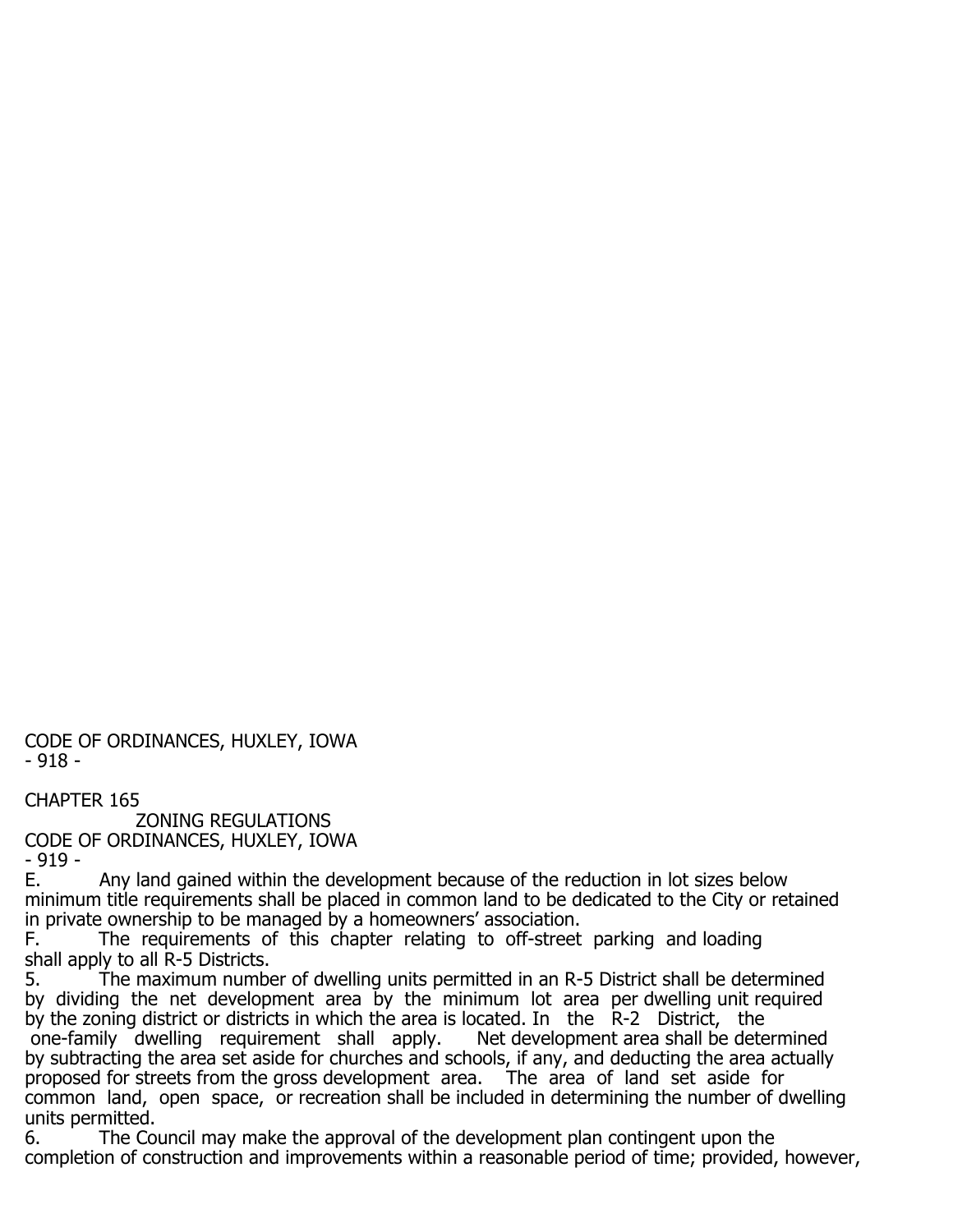CODE OF ORDINANCES, HUXLEY, IOWA - 918 -

CHAPTER 165

 ZONING REGULATIONS CODE OF ORDINANCES, HUXLEY, IOWA - 919 -<br>E.

Any land gained within the development because of the reduction in lot sizes below minimum title requirements shall be placed in common land to be dedicated to the City or retained in private ownership to be managed by a homeowners' association.<br>F. The requirements of this chapter relating to off-street

The requirements of this chapter relating to off-street parking and loading shall apply to all R-5 Districts.<br>5. The maximum numbe

The maximum number of dwelling units permitted in an R-5 District shall be determined by dividing the net development area by the minimum lot area per dwelling unit required by the zoning district or districts in which the area is located. In the R-2 District, the one-family dwelling requirement shall apply. Net development area shall be determined one-family dwelling requirement shall apply. by subtracting the area set aside for churches and schools, if any, and deducting the area actually proposed for streets from the gross development area. The area of land set aside for common land, open space, or recreation shall be included in determining the number of dwelling units permitted.<br>6. The Cor

The Council may make the approval of the development plan contingent upon the completion of construction and improvements within a reasonable period of time; provided, however,